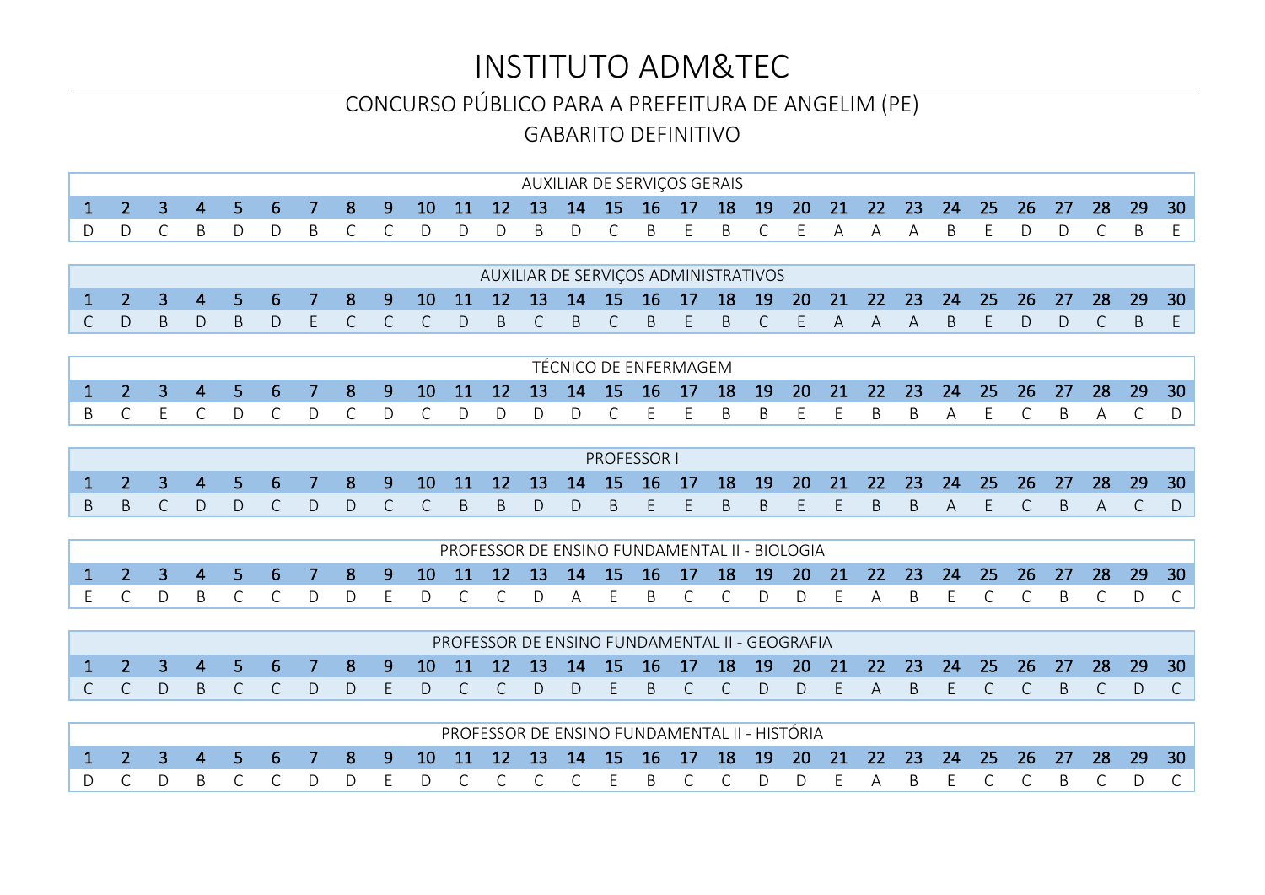# INSTITUTO ADM&TEC

#### CONCURSO PÚBLICO PARA A PREFEITURA DE ANGELIM (PE)

GABARITO DEFINITIVO

|                                                                                  |  |  |  |  |  | AUXILIAR DE SERVIÇOS GERAIS |  |  |  |  |  |  |  |  |  |
|----------------------------------------------------------------------------------|--|--|--|--|--|-----------------------------|--|--|--|--|--|--|--|--|--|
| 1 2 3 4 5 6 7 8 9 10 11 12 13 14 15 16 17 18 19 20 21 22 23 24 25 26 27 28 29 30 |  |  |  |  |  |                             |  |  |  |  |  |  |  |  |  |
| DDCBDDBCCDDDBDCBEBCEAAABEDDCBE                                                   |  |  |  |  |  |                             |  |  |  |  |  |  |  |  |  |

|  |  |  |  |                                                                                                               |  |  | AUXILIAR DE SERVIÇOS ADMINISTRATIVOS |  |  |  |  |  |  |  |
|--|--|--|--|---------------------------------------------------------------------------------------------------------------|--|--|--------------------------------------|--|--|--|--|--|--|--|
|  |  |  |  | 1  2  3  4  5  6  7  8  9  10  11  12  13  14  15  16  17  18  19  20  21  22  23  24  25  26  27  28  29  30 |  |  |                                      |  |  |  |  |  |  |  |
|  |  |  |  | C D B D B D E C C C D B C B C B E B C E A A A B E D D C B E                                                   |  |  |                                      |  |  |  |  |  |  |  |

|                                                                                                               |  |  |  |  |  |  | TÉCNICO DE ENFERMAGEM- |  |  |  |  |  |  |  |
|---------------------------------------------------------------------------------------------------------------|--|--|--|--|--|--|------------------------|--|--|--|--|--|--|--|
| 1  2  3  4  5  6  7  8  9  10  11  12  13  14  15  16  17  18  19  20  21  22  23  24  25  26  27  28  29  30 |  |  |  |  |  |  |                        |  |  |  |  |  |  |  |
| BCECDCDCDCDDDDCEEBBEEBBAECBACD                                                                                |  |  |  |  |  |  |                        |  |  |  |  |  |  |  |

|                                                                                                               |  |  |  |  |  |  | <b>PROFESSOR</b> L |  |  |  |  |  |  |  |
|---------------------------------------------------------------------------------------------------------------|--|--|--|--|--|--|--------------------|--|--|--|--|--|--|--|
| 1  2  3  4  5  6  7  8  9  10  11  12  13  14  15  16  17  18  19  20  21  22  23  24  25  26  27  28  29  30 |  |  |  |  |  |  |                    |  |  |  |  |  |  |  |
| BBC DDC DDC CBBD DBEEBBEEBBAECBACD                                                                            |  |  |  |  |  |  |                    |  |  |  |  |  |  |  |

|                                  |  |  |  |  |  |  |  |  | PROFESSOR DE ENSINO FUNDAMENTAL II - BIOLOGIA |  |  |  |  |  |
|----------------------------------|--|--|--|--|--|--|--|--|-----------------------------------------------|--|--|--|--|--|
|                                  |  |  |  |  |  |  |  |  |                                               |  |  |  |  |  |
| IE CDBCCDDEDCCDAEBCCDDEABECCBCDC |  |  |  |  |  |  |  |  |                                               |  |  |  |  |  |

|                                                                                                               |  |  |  |  |  |  | PROFESSOR DE ENSINO FUNDAMENTAL II - GEOGRAFIA |  |  |  |  |  |  |  |
|---------------------------------------------------------------------------------------------------------------|--|--|--|--|--|--|------------------------------------------------|--|--|--|--|--|--|--|
| 1  2  3  4  5  6  7  8  9  10  11  12  13  14  15  16  17  18  19  20  21  22  23  24  25  26  27  28  29  30 |  |  |  |  |  |  |                                                |  |  |  |  |  |  |  |
| ICCD BCCD DE DCCD DE BCCD DE ABECCBCD C                                                                       |  |  |  |  |  |  |                                                |  |  |  |  |  |  |  |

|                                                                                                               |  |  |  |  |  |  |  |  | PROFESSOR DE ENSINO FUNDAMENTAL II - HISTÓRIA |  |  |  |  |                                                           |
|---------------------------------------------------------------------------------------------------------------|--|--|--|--|--|--|--|--|-----------------------------------------------|--|--|--|--|-----------------------------------------------------------|
| 1  2  3  4  5  6  7  8  9  10  11  12  13  14  15  16  17  18  19  20  21  22  23  24  25  26  27  28  29  30 |  |  |  |  |  |  |  |  |                                               |  |  |  |  |                                                           |
|                                                                                                               |  |  |  |  |  |  |  |  |                                               |  |  |  |  | D B C C D D E D C C C C E B C C D D E A B E C C B C D C I |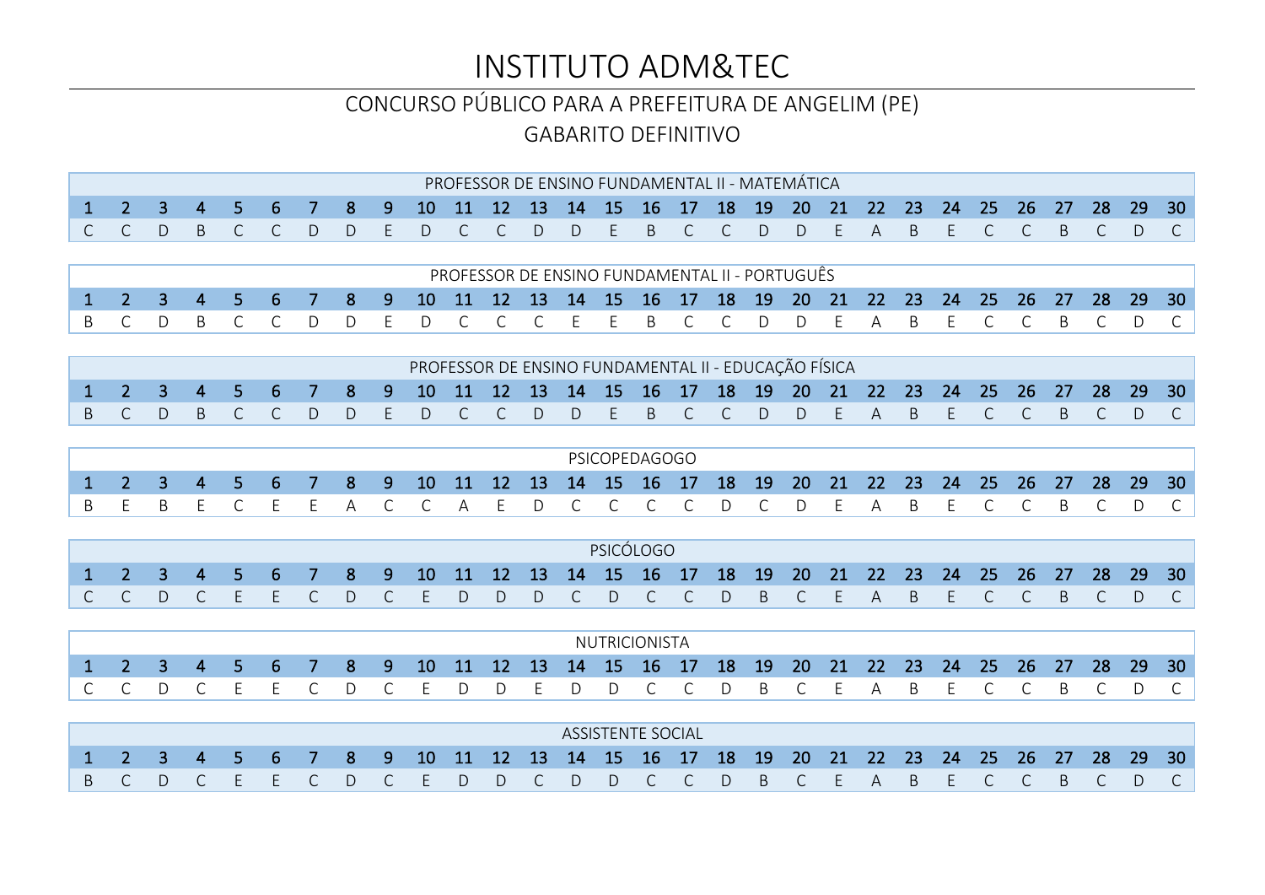# INSTITUTO ADM&TEC

#### CONCURSO PÚBLICO PARA A PREFEITURA DE ANGELIM (PE)

GABARITO DEFINITIVO

|              |                |                |                |                |                  |           |              |              |           |    |           |              |           |           |                          | PROFESSOR DE ENSINO FUNDAMENTAL II - MATEMÁTICA      |           |              |           |    |    |              |    |              |           |              |              |    |              |
|--------------|----------------|----------------|----------------|----------------|------------------|-----------|--------------|--------------|-----------|----|-----------|--------------|-----------|-----------|--------------------------|------------------------------------------------------|-----------|--------------|-----------|----|----|--------------|----|--------------|-----------|--------------|--------------|----|--------------|
| $\mathbf{1}$ | $\overline{2}$ | 3              | 4              | 5.             | 6                |           | 8            | 9            | 10        | 11 | 12        | 13           | 14        | 15        | 16                       | 17                                                   | 18        | 19           | 20        | 21 | 22 | 23           | 24 | 25           | 26        | 27           | 28           | 29 | 30           |
| $\mathsf{C}$ | $\mathsf{C}$   | D              | B              | C.             | $\mathsf{C}$     | D         | $\mathsf{D}$ | F            | D         | C  | C         | D            | D         | F         | <sub>B</sub>             | C                                                    | C         | D            | D         | F. | A  | <sub>B</sub> | E. | $\mathsf{C}$ | C         | <sub>B</sub> | $\mathsf{C}$ | D  | $\mathsf{C}$ |
|              |                |                |                |                |                  |           |              |              |           |    |           |              |           |           |                          |                                                      |           |              |           |    |    |              |    |              |           |              |              |    |              |
|              |                |                |                |                |                  |           |              |              |           |    |           |              |           |           |                          | PROFESSOR DE ENSINO FUNDAMENTAL II - PORTUGUÊS       |           |              |           |    |    |              |    |              |           |              |              |    |              |
| $\mathbf{1}$ | 2 <sup>1</sup> | $\overline{3}$ | $\overline{4}$ | 5 <sup>1</sup> | $6 \overline{6}$ | 7         | 8            | 9            | 10        | 11 | 12        | 13           | 14        | 15        | 16                       | 17                                                   | 18        | 19           | 20        | 21 | 22 | 23           | 24 | 25           | 26        | 27           | 28           | 29 | 30           |
| B            | $\mathsf{C}$   | D              | B              | $\mathsf{C}$   | $\mathsf{C}$     | D         | D            | F            | D.        | C  | $\subset$ | C            | F         | E.        | <sup>B</sup>             | $\mathsf{C}$                                         | C         | D            | D         | F  | A  | <sub>B</sub> | F  | $\subset$    | $\subset$ | <sup>R</sup> | $\mathsf{C}$ | D  | $\mathsf{C}$ |
|              |                |                |                |                |                  |           |              |              |           |    |           |              |           |           |                          |                                                      |           |              |           |    |    |              |    |              |           |              |              |    |              |
|              |                |                |                |                |                  |           |              |              |           |    |           |              |           |           |                          | PROFESSOR DE ENSINO FUNDAMENTAL II - EDUCAÇÃO FÍSICA |           |              |           |    |    |              |    |              |           |              |              |    |              |
| 1            | $\overline{2}$ | 3              | 4              | 5.             | 6                |           | 8            | 9            | <b>10</b> | 11 | 12        | 13           | 14        | 15        | 16                       | 17                                                   | 18        | 19           | <b>20</b> | 21 | 22 | 23           | 24 | 25           | 26        | 27           | 28           | 29 | 30           |
| B            | C              | D              | B              | C.             | C                | D         | D            | F            | D         | C  | C         | $\mathsf{D}$ | D         | F         | <sub>B</sub>             | $\subset$                                            | $\subset$ | D            | D         | F. | A  | <sub>B</sub> | E. | C.           | C         | <sub>B</sub> | $\mathsf{C}$ | D  | $\mathsf{C}$ |
|              |                |                |                |                |                  |           |              |              |           |    |           |              |           |           |                          |                                                      |           |              |           |    |    |              |    |              |           |              |              |    |              |
|              |                |                |                |                |                  |           |              |              |           |    |           |              |           |           | <b>PSICOPEDAGOGO</b>     |                                                      |           |              |           |    |    |              |    |              |           |              |              |    |              |
| $\mathbf{1}$ | 2 <sup>1</sup> | $\overline{3}$ | $\overline{4}$ | 5 <sup>1</sup> | $6 \overline{6}$ | 7         | 8            | 9            | 10        | 11 | 12        | 13           | 14        | 15        | 16                       | 17                                                   | 18        | 19           | 20        | 21 | 22 | 23           | 24 | 25           | 26        | 27           | 28           | 29 | 30           |
| B            | F              | B              | E              | $\mathsf{C}$   | E                | F.        | A            | $\mathsf{C}$ | C         | А  | F         | D            | $\subset$ | $\subset$ | $\subset$                | C.                                                   | D         | $\mathsf{C}$ | D         | F  | А  | <sub>R</sub> | F  | $\subset$    | $\subset$ | <sup>R</sup> | C            | D  | C            |
|              |                |                |                |                |                  |           |              |              |           |    |           |              |           |           |                          |                                                      |           |              |           |    |    |              |    |              |           |              |              |    |              |
|              |                |                |                |                |                  |           |              |              |           |    |           |              |           |           | PSICÓLOGO                |                                                      |           |              |           |    |    |              |    |              |           |              |              |    |              |
| 1            | $\overline{2}$ | 3              | 4              | 5.             | 6                |           | 8            | 9            | 10        | 11 | 12        | 13           | 14        | 15        | 16                       | 17                                                   | 18        | 19           | 20        | 21 | 22 | 23           | 24 | 25           | 26        | 27           | 28           | 29 | 30           |
| C            | $\mathsf{C}$   | D              | $\mathsf{C}$   | F              | E                | C         | D            | C            | F         | D  | D.        | D            |           | D         | $\subset$                | $\mathsf{C}$                                         | D         | B            | C         | F. | A  | <sub>B</sub> | F  | C            | C         | <sub>B</sub> | $\mathsf{C}$ | D  | $\mathsf{C}$ |
|              |                |                |                |                |                  |           |              |              |           |    |           |              |           |           |                          |                                                      |           |              |           |    |    |              |    |              |           |              |              |    |              |
|              |                |                |                |                |                  |           |              |              |           |    |           |              |           |           | NUTRICIONISTA            |                                                      |           |              |           |    |    |              |    |              |           |              |              |    |              |
| $\mathbf{1}$ | 2 <sup>1</sup> | $\overline{3}$ | $\overline{4}$ | 5 <sup>1</sup> | 6                | 7         | 8            | 9            | 10        | 11 | 12        | 13           | 14        | 15        | 16                       | 17                                                   | 18        | 19           | 20        | 21 | 22 | 23           | 24 | 25           | 26        | 27           | 28           | 29 | 30           |
| $\subset$    | $\mathsf{C}$   | D              | $\mathsf{C}$   | F              | E                | $\subset$ | D            | $\mathsf{C}$ | F         | D  | D.        | F            | D.        | D.        | $\mathsf{C}$             | $\mathsf{C}$                                         | $\bigcap$ | <sub>B</sub> | $\subset$ | F  | А  | B.           | F  | $\subset$    | $\subset$ | <sub>R</sub> | $\mathsf{C}$ | D  | C            |
|              |                |                |                |                |                  |           |              |              |           |    |           |              |           |           |                          |                                                      |           |              |           |    |    |              |    |              |           |              |              |    |              |
|              |                |                |                |                |                  |           |              |              |           |    |           |              |           |           | <b>ASSISTENTE SOCIAL</b> |                                                      |           |              |           |    |    |              |    |              |           |              |              |    |              |
|              | $\mathcal{P}$  | 3              | 4              |                | 6                |           | 8            | 9            | 10        | 11 | 12        | 13           | 14        | 15        | 16                       | 17                                                   | 18        | 19           | 20        | 21 | 22 | 23           | 24 | 25           | 26        | 27           | 28           | 29 | 30           |
| B            | C              | D              |                |                | F                | C         | D            | C            |           | D  | D.        | С            | D         | D         | $\mathsf{C}$             | $\mathsf{C}$                                         | D         | B            | C         | F  | A  | B.           | F  | C            | C         | B            | $\mathsf{C}$ | D  | $\mathsf{C}$ |